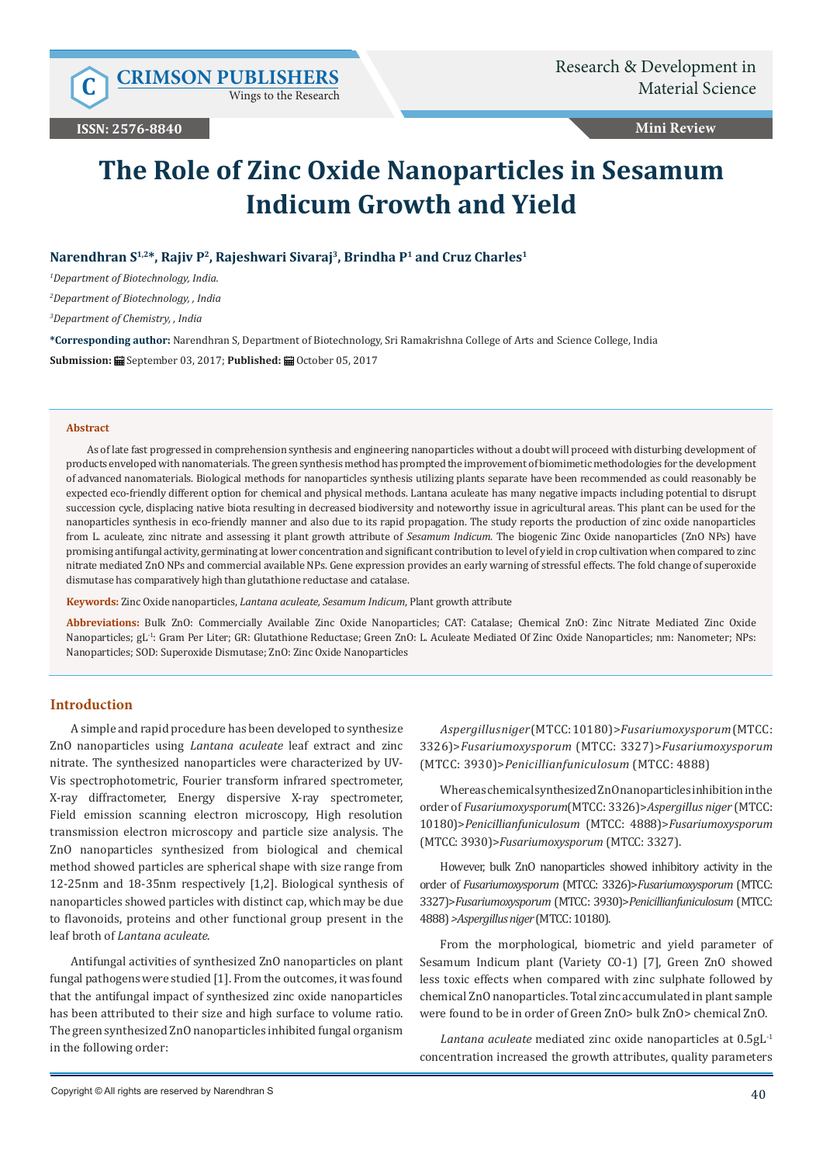Wings to the Research

**Mini Review**

# **The Role of Zinc Oxide Nanoparticles in Sesamum Indicum Growth and Yield**

## Narendhran S<sup>1,2\*</sup>, Rajiv P<sup>2</sup>, Rajeshwari Sivaraj<sup>3</sup>, Brindha P<sup>1</sup> and Cruz Charles<sup>1</sup>

*1 Department of Biotechnology, India.*

*2 Department of Biotechnology, , India*

*3 Department of Chemistry, , India*

**\*Corresponding author:** Narendhran S, Department of Biotechnology, Sri Ramakrishna College of Arts and Science College, India

**Submission:** September 03, 2017; **Published:** October 05, 2017

#### **Abstract**

As of late fast progressed in comprehension synthesis and engineering nanoparticles without a doubt will proceed with disturbing development of products enveloped with nanomaterials. The green synthesis method has prompted the improvement of biomimetic methodologies for the development of advanced nanomaterials. Biological methods for nanoparticles synthesis utilizing plants separate have been recommended as could reasonably be expected eco-friendly different option for chemical and physical methods. Lantana aculeate has many negative impacts including potential to disrupt succession cycle, displacing native biota resulting in decreased biodiversity and noteworthy issue in agricultural areas. This plant can be used for the nanoparticles synthesis in eco-friendly manner and also due to its rapid propagation. The study reports the production of zinc oxide nanoparticles from L. aculeate, zinc nitrate and assessing it plant growth attribute of *Sesamum Indicum*. The biogenic Zinc Oxide nanoparticles (ZnO NPs) have promising antifungal activity, germinating at lower concentration and significant contribution to level of yield in crop cultivation when compared to zinc nitrate mediated ZnO NPs and commercial available NPs. Gene expression provides an early warning of stressful effects. The fold change of superoxide dismutase has comparatively high than glutathione reductase and catalase.

**Keywords:** Zinc Oxide nanoparticles, *Lantana aculeate, Sesamum Indicum*, Plant growth attribute

**Abbreviations:** Bulk ZnO: Commercially Available Zinc Oxide Nanoparticles; CAT: Catalase; Chemical ZnO: Zinc Nitrate Mediated Zinc Oxide Nanoparticles; gL-1: Gram Per Liter; GR: Glutathione Reductase; Green ZnO: L. Aculeate Mediated Of Zinc Oxide Nanoparticles; nm: Nanometer; NPs: Nanoparticles; SOD: Superoxide Dismutase; ZnO: Zinc Oxide Nanoparticles

#### **Introduction**

A simple and rapid procedure has been developed to synthesize ZnO nanoparticles using *Lantana aculeate* leaf extract and zinc nitrate. The synthesized nanoparticles were characterized by UV-Vis spectrophotometric, Fourier transform infrared spectrometer, X-ray diffractometer, Energy dispersive X-ray spectrometer, Field emission scanning electron microscopy, High resolution transmission electron microscopy and particle size analysis. The ZnO nanoparticles synthesized from biological and chemical method showed particles are spherical shape with size range from 12-25nm and 18-35nm respectively [1,2]. Biological synthesis of nanoparticles showed particles with distinct cap, which may be due to flavonoids, proteins and other functional group present in the leaf broth of *Lantana aculeate*.

Antifungal activities of synthesized ZnO nanoparticles on plant fungal pathogens were studied [1]. From the outcomes, it was found that the antifungal impact of synthesized zinc oxide nanoparticles has been attributed to their size and high surface to volume ratio. The green synthesized ZnO nanoparticles inhibited fungal organism in the following order:

*Aspergillus niger* (MTCC: 10180)>*Fusariumoxysporum* (MTCC: 3326)>*Fusariumoxysporum* (MTCC: 3327)>*Fusariumoxysporum*  (MTCC: 3930)>*Penicillianfuniculosum* (MTCC: 4888)

Whereas chemical synthesized ZnO nanoparticles inhibition in the order of *Fusariumoxysporum*(MTCC: 3326)>*Aspergillus niger* (MTCC: 10180)>*Penicillianfuniculosum* (MTCC: 4888)>*Fusariumoxysporum* (MTCC: 3930)>*Fusariumoxysporum* (MTCC: 3327).

However, bulk ZnO nanoparticles showed inhibitory activity in the order of *Fusariumoxysporum* (MTCC: 3326)>*Fusariumoxysporum* (MTCC: 3327)>*Fusariumoxysporum* (MTCC: 3930)>*Penicillianfuniculosum* (MTCC: 4888) *>Aspergillus niger* (MTCC: 10180).

From the morphological, biometric and yield parameter of Sesamum Indicum plant (Variety CO-1) [7], Green ZnO showed less toxic effects when compared with zinc sulphate followed by chemical ZnO nanoparticles. Total zinc accumulated in plant sample were found to be in order of Green ZnO> bulk ZnO> chemical ZnO.

*Lantana aculeate* mediated zinc oxide nanoparticles at 0.5gL-1 concentration increased the growth attributes, quality parameters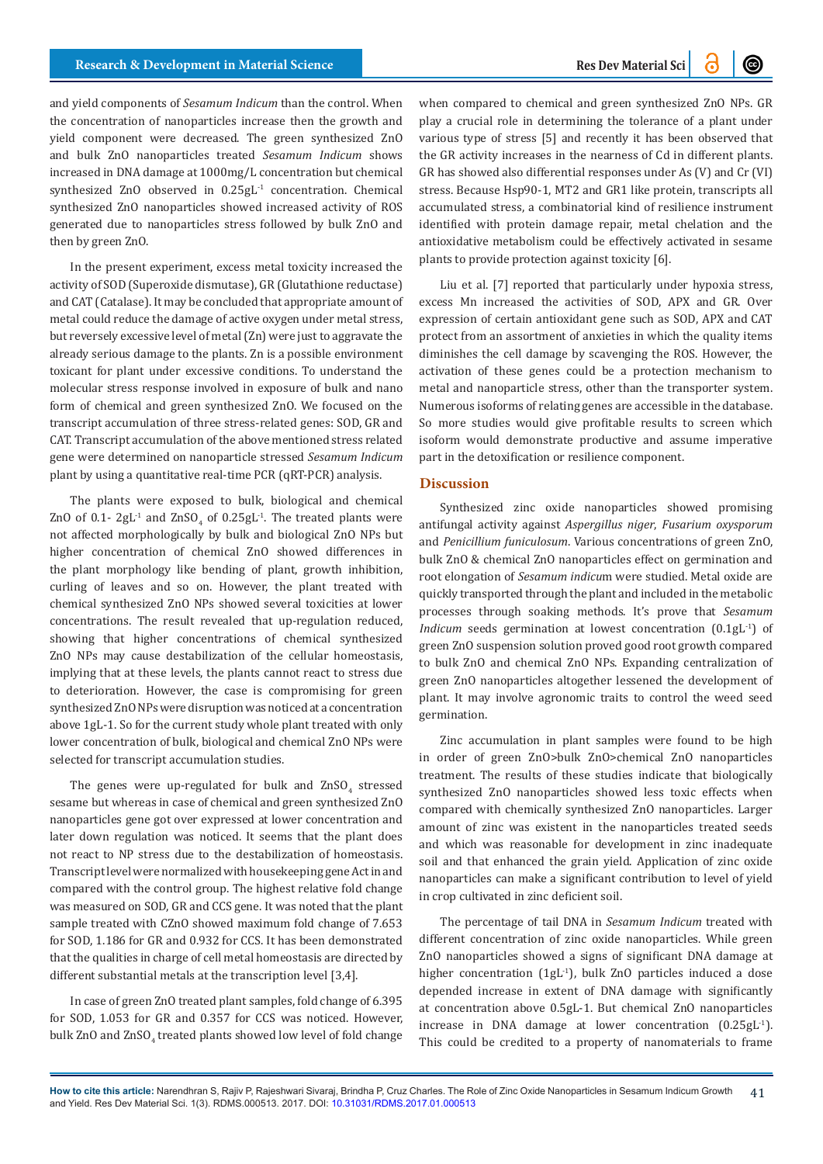and yield components of *Sesamum Indicum* than the control. When the concentration of nanoparticles increase then the growth and yield component were decreased. The green synthesized ZnO and bulk ZnO nanoparticles treated *Sesamum Indicum* shows increased in DNA damage at 1000mg/L concentration but chemical synthesized ZnO observed in 0.25gL<sup>-1</sup> concentration. Chemical synthesized ZnO nanoparticles showed increased activity of ROS generated due to nanoparticles stress followed by bulk ZnO and then by green ZnO.

In the present experiment, excess metal toxicity increased the activity of SOD (Superoxide dismutase), GR (Glutathione reductase) and CAT (Catalase). It may be concluded that appropriate amount of metal could reduce the damage of active oxygen under metal stress, but reversely excessive level of metal (Zn) were just to aggravate the already serious damage to the plants. Zn is a possible environment toxicant for plant under excessive conditions. To understand the molecular stress response involved in exposure of bulk and nano form of chemical and green synthesized ZnO. We focused on the transcript accumulation of three stress-related genes: SOD, GR and CAT. Transcript accumulation of the above mentioned stress related gene were determined on nanoparticle stressed *Sesamum Indicum*  plant by using a quantitative real-time PCR (qRT-PCR) analysis.

The plants were exposed to bulk, biological and chemical ZnO of 0.1-  $2gL^{-1}$  and  $ZnSO_4$  of 0.25gL<sup>-1</sup>. The treated plants were not affected morphologically by bulk and biological ZnO NPs but higher concentration of chemical ZnO showed differences in the plant morphology like bending of plant, growth inhibition, curling of leaves and so on. However, the plant treated with chemical synthesized ZnO NPs showed several toxicities at lower concentrations. The result revealed that up-regulation reduced, showing that higher concentrations of chemical synthesized ZnO NPs may cause destabilization of the cellular homeostasis, implying that at these levels, the plants cannot react to stress due to deterioration. However, the case is compromising for green synthesized ZnO NPs were disruption was noticed at a concentration above 1gL-1. So for the current study whole plant treated with only lower concentration of bulk, biological and chemical ZnO NPs were selected for transcript accumulation studies.

The genes were up-regulated for bulk and  $\text{ZnSO}_4$  stressed sesame but whereas in case of chemical and green synthesized ZnO nanoparticles gene got over expressed at lower concentration and later down regulation was noticed. It seems that the plant does not react to NP stress due to the destabilization of homeostasis. Transcript level were normalized with housekeeping gene Act in and compared with the control group. The highest relative fold change was measured on SOD, GR and CCS gene. It was noted that the plant sample treated with CZnO showed maximum fold change of 7.653 for SOD, 1.186 for GR and 0.932 for CCS. It has been demonstrated that the qualities in charge of cell metal homeostasis are directed by different substantial metals at the transcription level [3,4].

In case of green ZnO treated plant samples, fold change of 6.395 for SOD, 1.053 for GR and 0.357 for CCS was noticed. However, bulk  $\rm ZnO$  and  $\rm ZnSO_4$  treated plants showed low level of fold change when compared to chemical and green synthesized ZnO NPs. GR play a crucial role in determining the tolerance of a plant under various type of stress [5] and recently it has been observed that the GR activity increases in the nearness of Cd in different plants. GR has showed also differential responses under As (V) and Cr (VI) stress. Because Hsp90-1, MT2 and GR1 like protein, transcripts all accumulated stress, a combinatorial kind of resilience instrument identified with protein damage repair, metal chelation and the antioxidative metabolism could be effectively activated in sesame plants to provide protection against toxicity [6].

Liu et al. [7] reported that particularly under hypoxia stress, excess Mn increased the activities of SOD, APX and GR. Over expression of certain antioxidant gene such as SOD, APX and CAT protect from an assortment of anxieties in which the quality items diminishes the cell damage by scavenging the ROS. However, the activation of these genes could be a protection mechanism to metal and nanoparticle stress, other than the transporter system. Numerous isoforms of relating genes are accessible in the database. So more studies would give profitable results to screen which isoform would demonstrate productive and assume imperative part in the detoxification or resilience component.

### **Discussion**

Synthesized zinc oxide nanoparticles showed promising antifungal activity against *Aspergillus niger*, *Fusarium oxysporum*  and *Penicillium funiculosum*. Various concentrations of green ZnO, bulk ZnO & chemical ZnO nanoparticles effect on germination and root elongation of *Sesamum indicu*m were studied. Metal oxide are quickly transported through the plant and included in the metabolic processes through soaking methods. It's prove that *Sesamum Indicum* seeds germination at lowest concentration  $(0.1gL^{-1})$  of green ZnO suspension solution proved good root growth compared to bulk ZnO and chemical ZnO NPs. Expanding centralization of green ZnO nanoparticles altogether lessened the development of plant. It may involve agronomic traits to control the weed seed germination.

Zinc accumulation in plant samples were found to be high in order of green ZnO>bulk ZnO>chemical ZnO nanoparticles treatment. The results of these studies indicate that biologically synthesized ZnO nanoparticles showed less toxic effects when compared with chemically synthesized ZnO nanoparticles. Larger amount of zinc was existent in the nanoparticles treated seeds and which was reasonable for development in zinc inadequate soil and that enhanced the grain yield. Application of zinc oxide nanoparticles can make a significant contribution to level of yield in crop cultivated in zinc deficient soil.

The percentage of tail DNA in *Sesamum Indicum* treated with different concentration of zinc oxide nanoparticles. While green ZnO nanoparticles showed a signs of significant DNA damage at higher concentration (1gL<sup>-1</sup>), bulk ZnO particles induced a dose depended increase in extent of DNA damage with significantly at concentration above 0.5gL-1. But chemical ZnO nanoparticles increase in DNA damage at lower concentration (0.25gL-1). This could be credited to a property of nanomaterials to frame